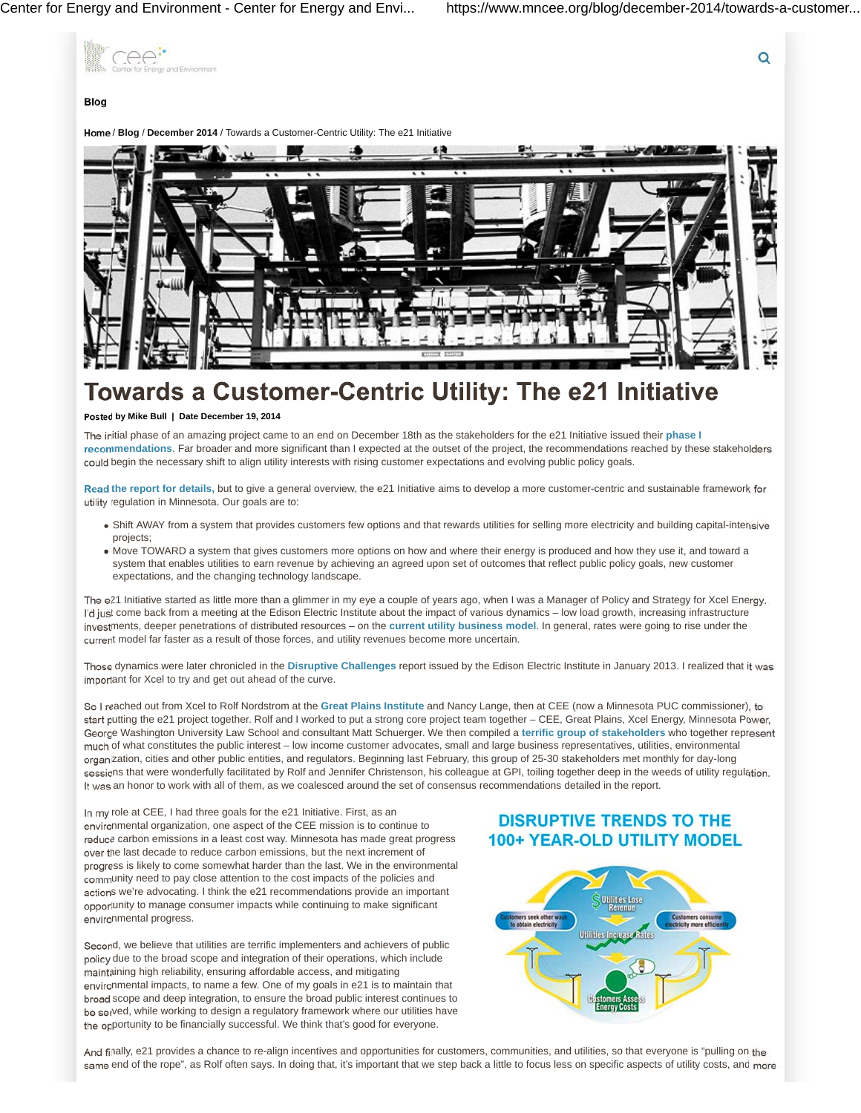Q



# **Blog**

/ **Blog** / **December 2014** / Towards a Customer-Centric Utility: The e21 Initiative



# **Towards a Customer-Centric Utility: The e21 Initiative**

# **Posted by Mike Bull | Date December 19, 2014**

The initial phase of an amazing project came to an end on December 18th as the stakeholders for the e21 Initiative issued their **phase I recommendations**. Far broader and more significant than I expected at the outset of the project, the recommendations reached by these stakeholders could begin the necessary shift to align utility interests with rising customer expectations and evolving public policy goals.

**Read the report for details,** but to give a general overview, the e21 Initiative aims to develop a more customer-centric and sustainable framework for utility regulation in Minnesota. Our goals are to:

- Shift AWAY from a system that provides customers few options and that rewards utilities for selling more electricity and building capital-intensive projects;
- Move TOWARD a system that gives customers more options on how and where their energy is produced and how they use it, and toward a system that enables utilities to earn revenue by achieving an agreed upon set of outcomes that reflect public policy goals, new customer expectations, and the changing technology landscape.

The e21 Initiative started as little more than a glimmer in my eye a couple of years ago, when I was a Manager of Policy and Strategy for Xcel Energy. I'd just come back from a meeting at the Edison Electric Institute about the impact of various dynamics – low load growth, increasing infrastructure investments, deeper penetrations of distributed resources – on the **current utility business model**. In general, rates were going to rise under the current model far faster as a result of those forces, and utility revenues become more uncertain.

Those dynamics were later chronicled in the **Disruptive Challenges** report issued by the Edison Electric Institute in January 2013. I realized that it was important for Xcel to try and get out ahead of the curve.

So I reached out from Xcel to Rolf Nordstrom at the **Great Plains Institute** and Nancy Lange, then at CEE (now a Minnesota PUC commissioner), to start putting the e21 project together. Rolf and I worked to put a strong core project team together – CEE, Great Plains, Xcel Energy, Minnesota Power, George Washington University Law School and consultant Matt Schuerger. We then compiled a **terrific group of stakeholders** who together represent much of what constitutes the public interest – low income customer advocates, small and large business representatives, utilities, environmental organization, cities and other public entities, and regulators. Beginning last February, this group of 25-30 stakeholders met monthly for day-long sessions that were wonderfully facilitated by Rolf and Jennifer Christenson, his colleague at GPI, toiling together deep in the weeds of utility regulation. It was an honor to work with all of them, as we coalesced around the set of consensus recommendations detailed in the report.

In my role at CEE, I had three goals for the e21 Initiative. First, as an environmental organization, one aspect of the CEE mission is to continue to reduce carbon emissions in a least cost way. Minnesota has made great progress over the last decade to reduce carbon emissions, but the next increment of progress is likely to come somewhat harder than the last. We in the environmental community need to pay close attention to the cost impacts of the policies and actions we're advocating. I think the e21 recommendations provide an important opportunity to manage consumer impacts while continuing to make significant environmental progress.

Second, we believe that utilities are terrific implementers and achievers of public policy due to the broad scope and integration of their operations, which include maintaining high reliability, ensuring affordable access, and mitigating environmental impacts, to name a few. One of my goals in e21 is to maintain that broad scope and deep integration, to ensure the broad public interest continues to be served, while working to design a regulatory framework where our utilities have the opportunity to be financially successful. We think that's good for everyone.

# **DISRUPTIVE TRENDS TO THE** 100+ YEAR-OLD UTILITY MODEL



And finally, e21 provides a chance to re-align incentives and opportunities for customers, communities, and utilities, so that everyone is "pulling on the same end of the rope", as Rolf often says. In doing that, it's important that we step back a little to focus less on specific aspects of utility costs, and more